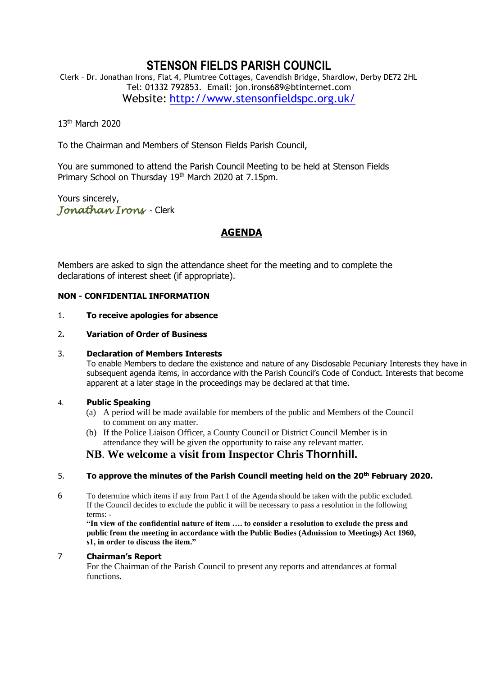# **STENSON FIELDS PARISH COUNCIL**

Clerk – Dr. Jonathan Irons, Flat 4, Plumtree Cottages, Cavendish Bridge, Shardlow, Derby DE72 2HL Tel: 01332 792853. Email: jon.irons689@btinternet.com Website: <http://www.stensonfieldspc.org.uk/>

13th March 2020

To the Chairman and Members of Stenson Fields Parish Council,

You are summoned to attend the Parish Council Meeting to be held at Stenson Fields Primary School on Thursday 19th March 2020 at 7.15pm.

Yours sincerely, *Jonathan Irons -* Clerk

# **AGENDA**

Members are asked to sign the attendance sheet for the meeting and to complete the declarations of interest sheet (if appropriate).

# **NON - CONFIDENTIAL INFORMATION**

#### 1. **To receive apologies for absence**

# 2**. Variation of Order of Business**

# 3. **Declaration of Members Interests**

To enable Members to declare the existence and nature of any Disclosable Pecuniary Interests they have in subsequent agenda items, in accordance with the Parish Council's Code of Conduct. Interests that become apparent at a later stage in the proceedings may be declared at that time.

# 4. **Public Speaking**

- (a) A period will be made available for members of the public and Members of the Council to comment on any matter.
- (b) If the Police Liaison Officer, a County Council or District Council Member is in attendance they will be given the opportunity to raise any relevant matter.

# **NB**. **We welcome a visit from Inspector Chris Thornhill.**

# 5. **To approve the minutes of the Parish Council meeting held on the 20th February 2020.**

6 To determine which items if any from Part 1 of the Agenda should be taken with the public excluded. If the Council decides to exclude the public it will be necessary to pass a resolution in the following terms: -

**"In view of the confidential nature of item …. to consider a resolution to exclude the press and public from the meeting in accordance with the Public Bodies (Admission to Meetings) Act 1960, s1, in order to discuss the item."** 

# 7 **Chairman's Report**

For the Chairman of the Parish Council to present any reports and attendances at formal functions.